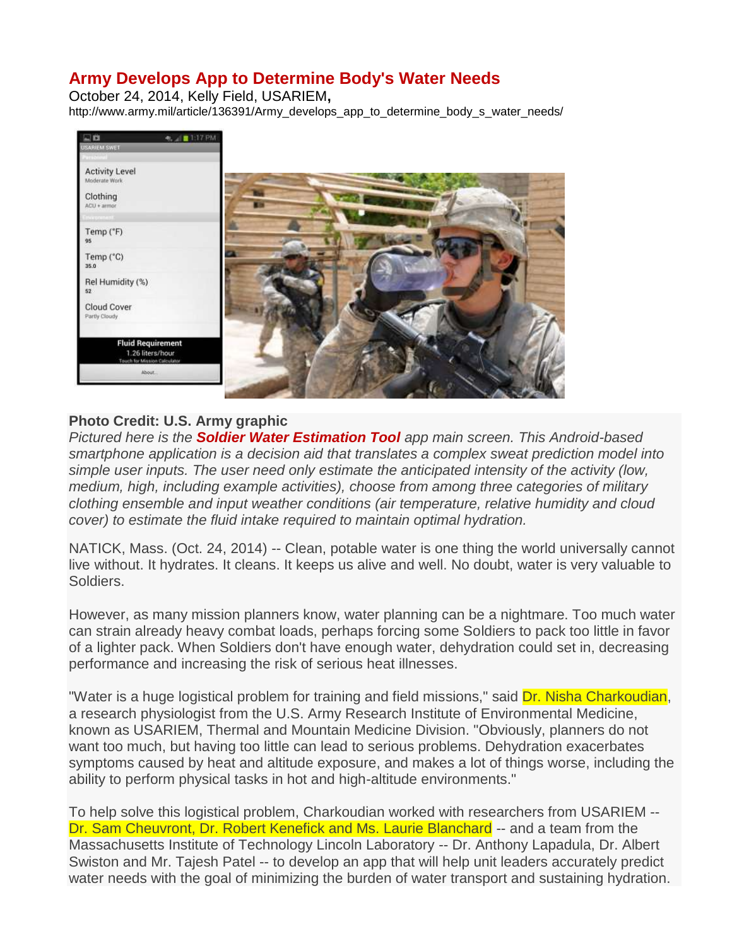## **Army Develops App to Determine Body's Water Needs**

October 24, 2014, [Kelly Field, USARIEM](http://www.army.mil/search/articles/index.php?search=Kelly+Field,+USARIEM)**,**  http://www.army.mil/article/136391/Army\_develops\_app\_to\_determine\_body\_s\_water\_needs/



## **Photo Credit: U.S. Army graphic**

*Pictured here is the Soldier Water Estimation Tool app main screen. This Android-based smartphone application is a decision aid that translates a complex sweat prediction model into simple user inputs. The user need only estimate the anticipated intensity of the activity (low, medium, high, including example activities), choose from among three categories of military clothing ensemble and input weather conditions (air temperature, relative humidity and cloud cover) to estimate the fluid intake required to maintain optimal hydration.*

NATICK, Mass. (Oct. 24, 2014) -- Clean, potable water is one thing the world universally cannot live without. It hydrates. It cleans. It keeps us alive and well. No doubt, water is very valuable to Soldiers.

However, as many mission planners know, water planning can be a nightmare. Too much water can strain already heavy combat loads, perhaps forcing some Soldiers to pack too little in favor of a lighter pack. When Soldiers don't have enough water, dehydration could set in, decreasing performance and increasing the risk of serious heat illnesses.

"Water is a huge logistical problem for training and field missions," said Dr. Nisha Charkoudian, a research physiologist from the U.S. Army Research Institute of Environmental Medicine, known as USARIEM, Thermal and Mountain Medicine Division. "Obviously, planners do not want too much, but having too little can lead to serious problems. Dehydration exacerbates symptoms caused by heat and altitude exposure, and makes a lot of things worse, including the ability to perform physical tasks in hot and high-altitude environments."

To help solve this logistical problem, Charkoudian worked with researchers from USARIEM -- Dr. Sam Cheuvront, Dr. Robert Kenefick and Ms. Laurie Blanchard -- and a team from the Massachusetts Institute of Technology Lincoln Laboratory -- Dr. Anthony Lapadula, Dr. Albert Swiston and Mr. Tajesh Patel -- to develop an app that will help unit leaders accurately predict water needs with the goal of minimizing the burden of water transport and sustaining hydration.